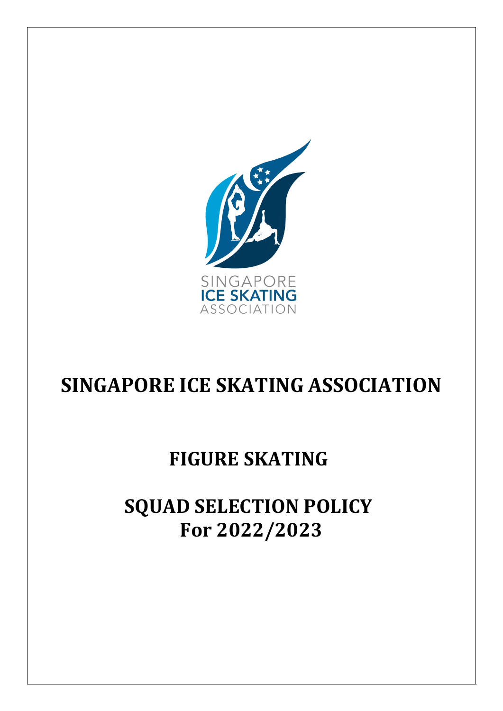

# **SINGAPORE ICE SKATING ASSOCIATION**

## **FIGURE SKATING**

# **SQUAD SELECTION POLICY For 2022/2023**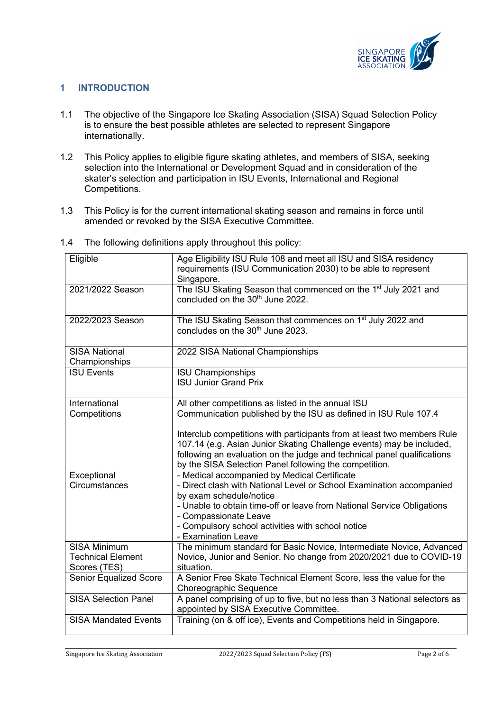

## **1 INTRODUCTION**

- 1.1 The objective of the Singapore Ice Skating Association (SISA) Squad Selection Policy is to ensure the best possible athletes are selected to represent Singapore internationally.
- 1.2 This Policy applies to eligible figure skating athletes, and members of SISA, seeking selection into the International or Development Squad and in consideration of the skater's selection and participation in ISU Events, International and Regional Competitions.
- 1.3 This Policy is for the current international skating season and remains in force until amended or revoked by the SISA Executive Committee.

| Eligible                                                        | Age Eligibility ISU Rule 108 and meet all ISU and SISA residency<br>requirements (ISU Communication 2030) to be able to represent<br>Singapore.                                                                                                                                      |
|-----------------------------------------------------------------|--------------------------------------------------------------------------------------------------------------------------------------------------------------------------------------------------------------------------------------------------------------------------------------|
| 2021/2022 Season                                                | The ISU Skating Season that commenced on the 1 <sup>st</sup> July 2021 and<br>concluded on the 30 <sup>th</sup> June 2022.                                                                                                                                                           |
| 2022/2023 Season                                                | The ISU Skating Season that commences on 1 <sup>st</sup> July 2022 and<br>concludes on the 30 <sup>th</sup> June 2023.                                                                                                                                                               |
| <b>SISA National</b><br>Championships                           | 2022 SISA National Championships                                                                                                                                                                                                                                                     |
| <b>ISU Events</b>                                               | <b>ISU Championships</b><br><b>ISU Junior Grand Prix</b>                                                                                                                                                                                                                             |
| International<br>Competitions                                   | All other competitions as listed in the annual ISU<br>Communication published by the ISU as defined in ISU Rule 107.4                                                                                                                                                                |
|                                                                 | Interclub competitions with participants from at least two members Rule<br>107.14 (e.g. Asian Junior Skating Challenge events) may be included,<br>following an evaluation on the judge and technical panel qualifications<br>by the SISA Selection Panel following the competition. |
| Exceptional<br>Circumstances                                    | - Medical accompanied by Medical Certificate<br>- Direct clash with National Level or School Examination accompanied<br>by exam schedule/notice                                                                                                                                      |
|                                                                 | - Unable to obtain time-off or leave from National Service Obligations<br>- Compassionate Leave<br>- Compulsory school activities with school notice<br>- Examination Leave                                                                                                          |
| <b>SISA Minimum</b><br><b>Technical Element</b><br>Scores (TES) | The minimum standard for Basic Novice, Intermediate Novice, Advanced<br>Novice, Junior and Senior. No change from 2020/2021 due to COVID-19<br>situation.                                                                                                                            |
| Senior Equalized Score                                          | A Senior Free Skate Technical Element Score, less the value for the<br>Choreographic Sequence                                                                                                                                                                                        |
| <b>SISA Selection Panel</b>                                     | A panel comprising of up to five, but no less than 3 National selectors as<br>appointed by SISA Executive Committee.                                                                                                                                                                 |
| <b>SISA Mandated Events</b>                                     | Training (on & off ice), Events and Competitions held in Singapore.                                                                                                                                                                                                                  |

1.4 The following definitions apply throughout this policy: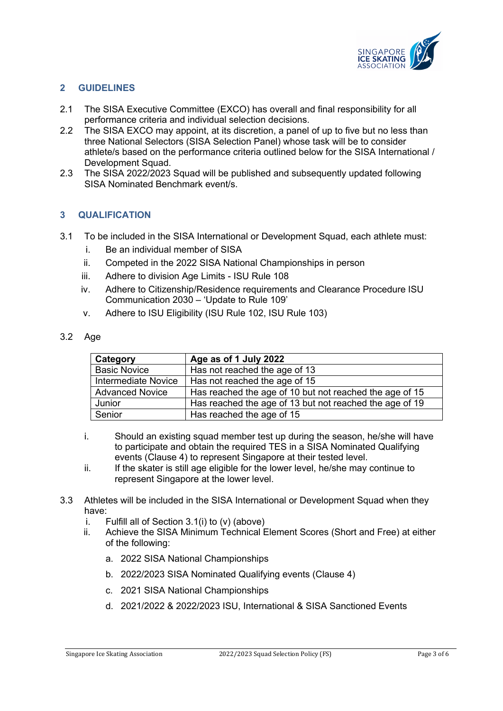

### **2 GUIDELINES**

- 2.1 The SISA Executive Committee (EXCO) has overall and final responsibility for all performance criteria and individual selection decisions.
- 2.2 The SISA EXCO may appoint, at its discretion, a panel of up to five but no less than three National Selectors (SISA Selection Panel) whose task will be to consider athlete/s based on the performance criteria outlined below for the SISA International / Development Squad.
- 2.3 The SISA 2022/2023 Squad will be published and subsequently updated following SISA Nominated Benchmark event/s.

### **3 QUALIFICATION**

- 3.1 To be included in the SISA International or Development Squad, each athlete must:
	- i. Be an individual member of SISA
	- ii. Competed in the 2022 SISA National Championships in person
	- iii. Adhere to division Age Limits ISU Rule 108
	- iv. Adhere to Citizenship/Residence requirements and Clearance Procedure ISU Communication 2030 – 'Update to Rule 109'
	- v. Adhere to ISU Eligibility (ISU Rule 102, ISU Rule 103)

#### 3.2 Age

| Category               | Age as of 1 July 2022                                   |
|------------------------|---------------------------------------------------------|
| <b>Basic Novice</b>    | Has not reached the age of 13                           |
| Intermediate Novice    | Has not reached the age of 15                           |
| <b>Advanced Novice</b> | Has reached the age of 10 but not reached the age of 15 |
| Junior                 | Has reached the age of 13 but not reached the age of 19 |
| Senior                 | Has reached the age of 15                               |

- i. Should an existing squad member test up during the season, he/she will have to participate and obtain the required TES in a SISA Nominated Qualifying events (Clause 4) to represent Singapore at their tested level.
- ii. If the skater is still age eligible for the lower level, he/she may continue to represent Singapore at the lower level.
- 3.3 Athletes will be included in the SISA International or Development Squad when they have:
	- i. Fulfill all of Section 3.1(i) to (v) (above)
	- ii. Achieve the SISA Minimum Technical Element Scores (Short and Free) at either of the following:
		- a. 2022 SISA National Championships
		- b. 2022/2023 SISA Nominated Qualifying events (Clause 4)
		- c. 2021 SISA National Championships
		- d. 2021/2022 & 2022/2023 ISU, International & SISA Sanctioned Events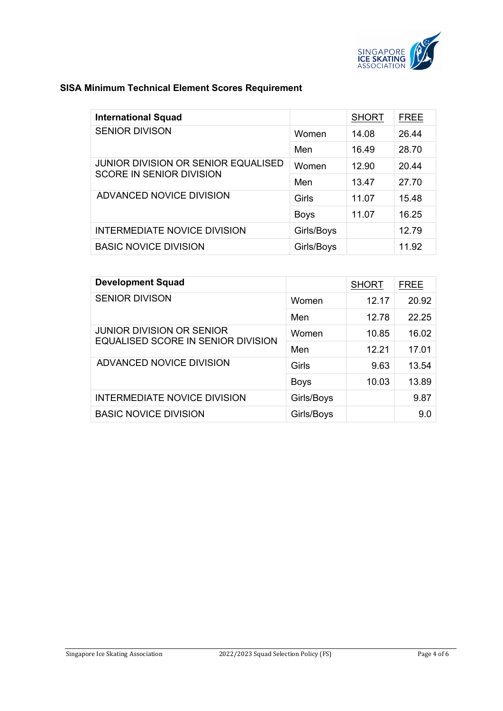

## **SISA Minimum Technical Element Scores Requirement**

| <b>International Squad</b>                 |             | <b>SHORT</b> | <b>FREE</b> |
|--------------------------------------------|-------------|--------------|-------------|
| <b>SENIOR DIVISON</b>                      | Women       | 14.08        | 26.44       |
|                                            | Men         | 16.49        | 28.70       |
| <b>JUNIOR DIVISION OR SENIOR EQUALISED</b> | Women       | 12.90        | 20.44       |
| <b>SCORE IN SENIOR DIVISION</b>            | Men         | 13.47        | 27.70       |
| ADVANCED NOVICE DIVISION                   | Girls       | 11.07        | 15.48       |
|                                            | <b>Boys</b> | 11.07        | 16.25       |
| <b>INTERMEDIATE NOVICE DIVISION</b>        | Girls/Boys  |              | 12.79       |
| <b>BASIC NOVICE DIVISION</b>               | Girls/Boys  |              | 11.92       |

| <b>Development Squad</b>            |             | <b>SHORT</b> | <b>FREE</b> |
|-------------------------------------|-------------|--------------|-------------|
| <b>SENIOR DIVISON</b>               | Women       | 12.17        | 20.92       |
|                                     | Men         | 12.78        | 22.25       |
| <b>JUNIOR DIVISION OR SENIOR</b>    | Women       | 10.85        | 16.02       |
| EQUALISED SCORE IN SENIOR DIVISION  | Men         | 12.21        | 17.01       |
| ADVANCED NOVICE DIVISION            | Girls       | 9.63         | 13.54       |
|                                     | <b>Boys</b> | 10.03        | 13.89       |
| <b>INTERMEDIATE NOVICE DIVISION</b> | Girls/Boys  |              | 9.87        |
| <b>BASIC NOVICE DIVISION</b>        | Girls/Boys  |              | 9.0         |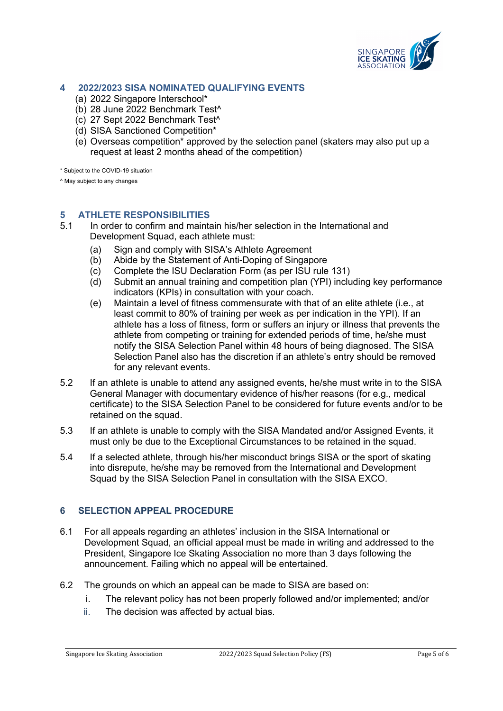

#### **4 2022/2023 SISA NOMINATED QUALIFYING EVENTS**

- (a) 2022 Singapore Interschool\*
- (b) 28 June 2022 Benchmark Test^
- (c) 27 Sept 2022 Benchmark Test^
- (d) SISA Sanctioned Competition\*
- (e) Overseas competition\* approved by the selection panel (skaters may also put up a request at least 2 months ahead of the competition)

\* Subject to the COVID-19 situation

^ May subject to any changes

#### **5 ATHLETE RESPONSIBILITIES**

- 5.1 In order to confirm and maintain his/her selection in the International and Development Squad, each athlete must:
	- (a) Sign and comply with SISA's Athlete Agreement
	- (b) Abide by the Statement of Anti-Doping of Singapore
	- (c) Complete the ISU Declaration Form (as per ISU rule 131)
	- (d) Submit an annual training and competition plan (YPI) including key performance indicators (KPIs) in consultation with your coach.
	- (e) Maintain a level of fitness commensurate with that of an elite athlete (i.e., at least commit to 80% of training per week as per indication in the YPI). If an athlete has a loss of fitness, form or suffers an injury or illness that prevents the athlete from competing or training for extended periods of time, he/she must notify the SISA Selection Panel within 48 hours of being diagnosed. The SISA Selection Panel also has the discretion if an athlete's entry should be removed for any relevant events.
- 5.2 If an athlete is unable to attend any assigned events, he/she must write in to the SISA General Manager with documentary evidence of his/her reasons (for e.g., medical certificate) to the SISA Selection Panel to be considered for future events and/or to be retained on the squad.
- 5.3 If an athlete is unable to comply with the SISA Mandated and/or Assigned Events, it must only be due to the Exceptional Circumstances to be retained in the squad.
- 5.4 If a selected athlete, through his/her misconduct brings SISA or the sport of skating into disrepute, he/she may be removed from the International and Development Squad by the SISA Selection Panel in consultation with the SISA EXCO.

#### **6 SELECTION APPEAL PROCEDURE**

- 6.1 For all appeals regarding an athletes' inclusion in the SISA International or Development Squad, an official appeal must be made in writing and addressed to the President, Singapore Ice Skating Association no more than 3 days following the announcement. Failing which no appeal will be entertained.
- 6.2 The grounds on which an appeal can be made to SISA are based on:
	- i. The relevant policy has not been properly followed and/or implemented; and/or
	- ii. The decision was affected by actual bias.